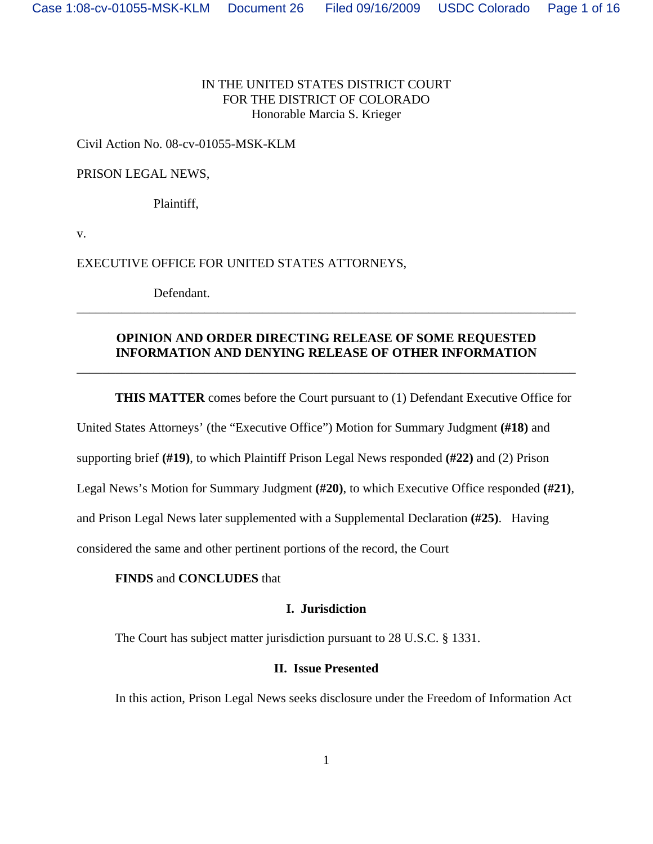## IN THE UNITED STATES DISTRICT COURT FOR THE DISTRICT OF COLORADO Honorable Marcia S. Krieger

# Civil Action No. 08-cv-01055-MSK-KLM

# PRISON LEGAL NEWS,

Plaintiff,

v.

# EXECUTIVE OFFICE FOR UNITED STATES ATTORNEYS,

Defendant.

# **OPINION AND ORDER DIRECTING RELEASE OF SOME REQUESTED INFORMATION AND DENYING RELEASE OF OTHER INFORMATION**

\_\_\_\_\_\_\_\_\_\_\_\_\_\_\_\_\_\_\_\_\_\_\_\_\_\_\_\_\_\_\_\_\_\_\_\_\_\_\_\_\_\_\_\_\_\_\_\_\_\_\_\_\_\_\_\_\_\_\_\_\_\_\_\_\_\_\_\_\_\_\_\_\_\_\_\_\_\_

\_\_\_\_\_\_\_\_\_\_\_\_\_\_\_\_\_\_\_\_\_\_\_\_\_\_\_\_\_\_\_\_\_\_\_\_\_\_\_\_\_\_\_\_\_\_\_\_\_\_\_\_\_\_\_\_\_\_\_\_\_\_\_\_\_\_\_\_\_\_\_\_\_\_\_\_\_\_

**THIS MATTER** comes before the Court pursuant to (1) Defendant Executive Office for

United States Attorneys' (the "Executive Office") Motion for Summary Judgment **(#18)** and

supporting brief **(#19)**, to which Plaintiff Prison Legal News responded **(#22)** and (2) Prison

Legal News's Motion for Summary Judgment **(#20)**, to which Executive Office responded **(#21)**,

and Prison Legal News later supplemented with a Supplemental Declaration **(#25)**. Having

considered the same and other pertinent portions of the record, the Court

# **FINDS** and **CONCLUDES** that

# **I. Jurisdiction**

The Court has subject matter jurisdiction pursuant to 28 U.S.C. § 1331.

## **II. Issue Presented**

In this action, Prison Legal News seeks disclosure under the Freedom of Information Act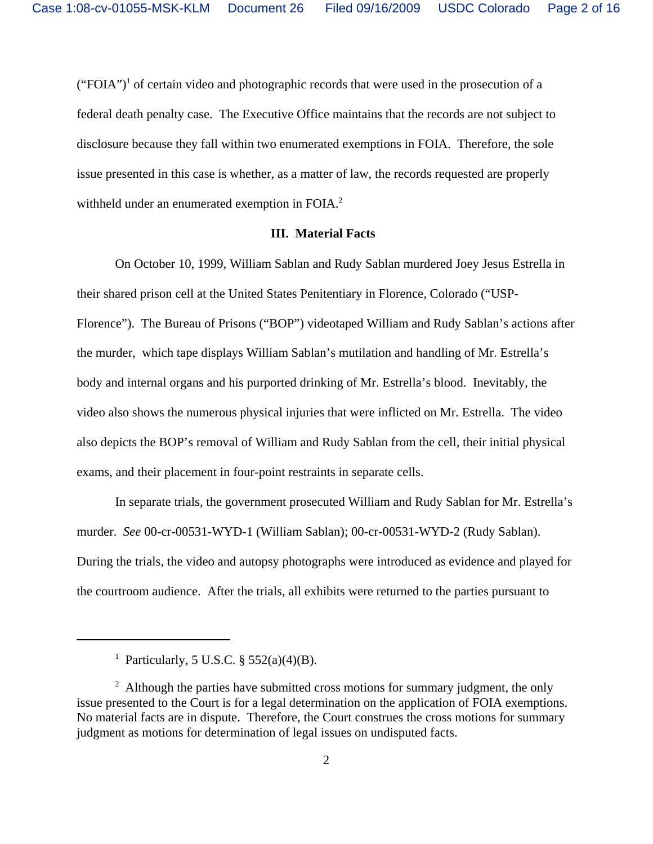$("FOIA")<sup>1</sup>$  of certain video and photographic records that were used in the prosecution of a federal death penalty case. The Executive Office maintains that the records are not subject to disclosure because they fall within two enumerated exemptions in FOIA. Therefore, the sole issue presented in this case is whether, as a matter of law, the records requested are properly withheld under an enumerated exemption in FOIA.<sup>2</sup>

#### **III. Material Facts**

On October 10, 1999, William Sablan and Rudy Sablan murdered Joey Jesus Estrella in their shared prison cell at the United States Penitentiary in Florence, Colorado ("USP-Florence"). The Bureau of Prisons ("BOP") videotaped William and Rudy Sablan's actions after the murder, which tape displays William Sablan's mutilation and handling of Mr. Estrella's body and internal organs and his purported drinking of Mr. Estrella's blood. Inevitably, the video also shows the numerous physical injuries that were inflicted on Mr. Estrella. The video also depicts the BOP's removal of William and Rudy Sablan from the cell, their initial physical exams, and their placement in four-point restraints in separate cells.

In separate trials, the government prosecuted William and Rudy Sablan for Mr. Estrella's murder. *See* 00-cr-00531-WYD-1 (William Sablan); 00-cr-00531-WYD-2 (Rudy Sablan). During the trials, the video and autopsy photographs were introduced as evidence and played for the courtroom audience. After the trials, all exhibits were returned to the parties pursuant to

<sup>1</sup> Particularly, 5 U.S.C. § 552(a)(4)(B).

 $2$  Although the parties have submitted cross motions for summary judgment, the only issue presented to the Court is for a legal determination on the application of FOIA exemptions. No material facts are in dispute. Therefore, the Court construes the cross motions for summary judgment as motions for determination of legal issues on undisputed facts.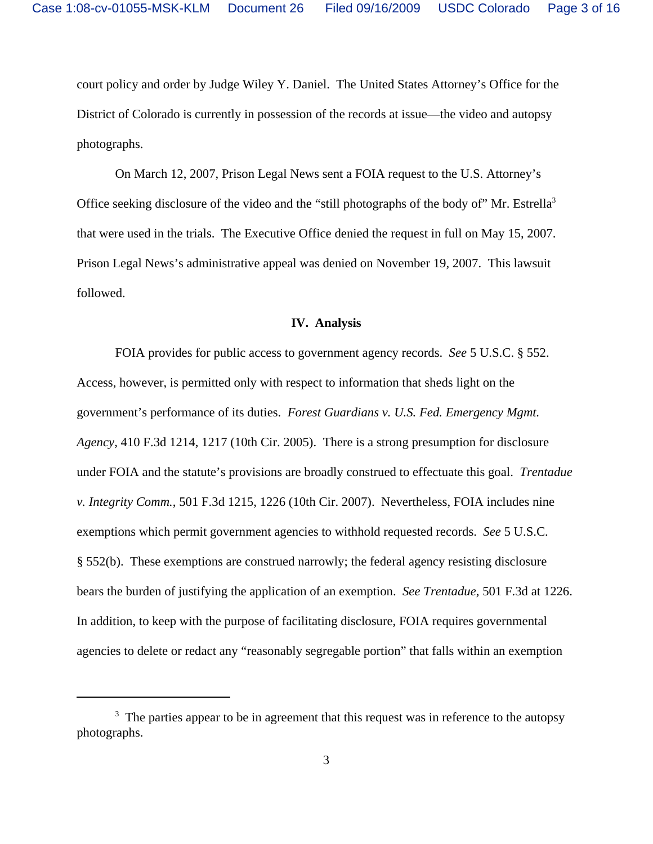court policy and order by Judge Wiley Y. Daniel. The United States Attorney's Office for the District of Colorado is currently in possession of the records at issue—the video and autopsy photographs.

On March 12, 2007, Prison Legal News sent a FOIA request to the U.S. Attorney's Office seeking disclosure of the video and the "still photographs of the body of" Mr. Estrella<sup>3</sup> that were used in the trials. The Executive Office denied the request in full on May 15, 2007. Prison Legal News's administrative appeal was denied on November 19, 2007. This lawsuit followed.

#### **IV. Analysis**

FOIA provides for public access to government agency records. *See* 5 U.S.C. § 552. Access, however, is permitted only with respect to information that sheds light on the government's performance of its duties. *Forest Guardians v. U.S. Fed. Emergency Mgmt. Agency*, 410 F.3d 1214, 1217 (10th Cir. 2005). There is a strong presumption for disclosure under FOIA and the statute's provisions are broadly construed to effectuate this goal. *Trentadue v. Integrity Comm.*, 501 F.3d 1215, 1226 (10th Cir. 2007). Nevertheless, FOIA includes nine exemptions which permit government agencies to withhold requested records. *See* 5 U.S.C. § 552(b). These exemptions are construed narrowly; the federal agency resisting disclosure bears the burden of justifying the application of an exemption. *See Trentadue*, 501 F.3d at 1226. In addition, to keep with the purpose of facilitating disclosure, FOIA requires governmental agencies to delete or redact any "reasonably segregable portion" that falls within an exemption

<sup>&</sup>lt;sup>3</sup> The parties appear to be in agreement that this request was in reference to the autopsy photographs.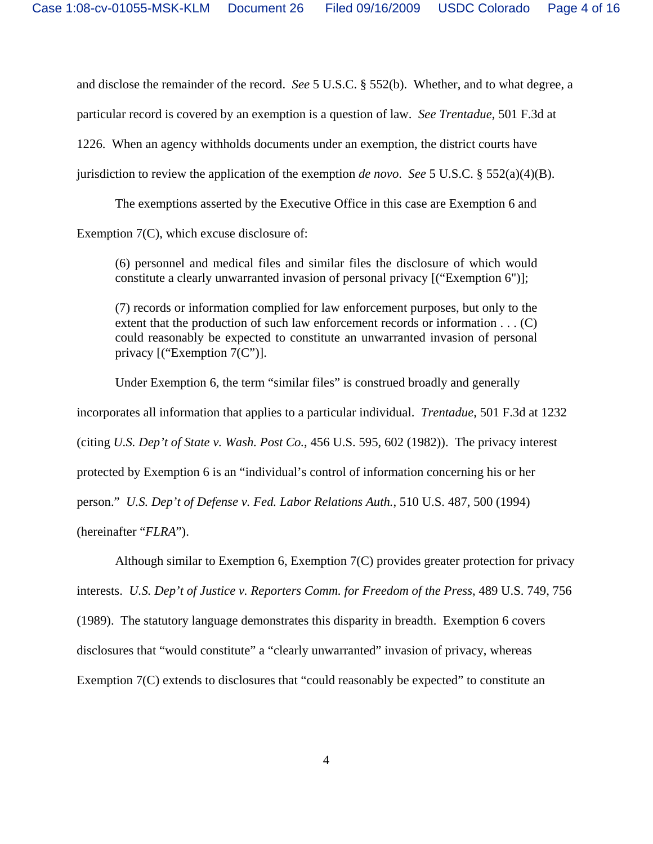and disclose the remainder of the record. *See* 5 U.S.C. § 552(b). Whether, and to what degree, a particular record is covered by an exemption is a question of law. *See Trentadue*, 501 F.3d at 1226. When an agency withholds documents under an exemption, the district courts have jurisdiction to review the application of the exemption *de novo. See* 5 U.S.C. § 552(a)(4)(B).

 The exemptions asserted by the Executive Office in this case are Exemption 6 and Exemption 7(C), which excuse disclosure of:

(6) personnel and medical files and similar files the disclosure of which would constitute a clearly unwarranted invasion of personal privacy [("Exemption 6")];

(7) records or information complied for law enforcement purposes, but only to the extent that the production of such law enforcement records or information . . . (C) could reasonably be expected to constitute an unwarranted invasion of personal privacy [("Exemption 7(C")].

Under Exemption 6, the term "similar files" is construed broadly and generally incorporates all information that applies to a particular individual. *Trentadue*, 501 F.3d at 1232 (citing *U.S. Dep't of State v. Wash. Post Co.*, 456 U.S. 595, 602 (1982)). The privacy interest protected by Exemption 6 is an "individual's control of information concerning his or her person." *U.S. Dep't of Defense v. Fed. Labor Relations Auth.*, 510 U.S. 487, 500 (1994) (hereinafter "*FLRA*").

Although similar to Exemption 6, Exemption 7(C) provides greater protection for privacy interests. *U.S. Dep't of Justice v. Reporters Comm. for Freedom of the Press*, 489 U.S. 749, 756 (1989). The statutory language demonstrates this disparity in breadth. Exemption 6 covers disclosures that "would constitute" a "clearly unwarranted" invasion of privacy, whereas Exemption 7(C) extends to disclosures that "could reasonably be expected" to constitute an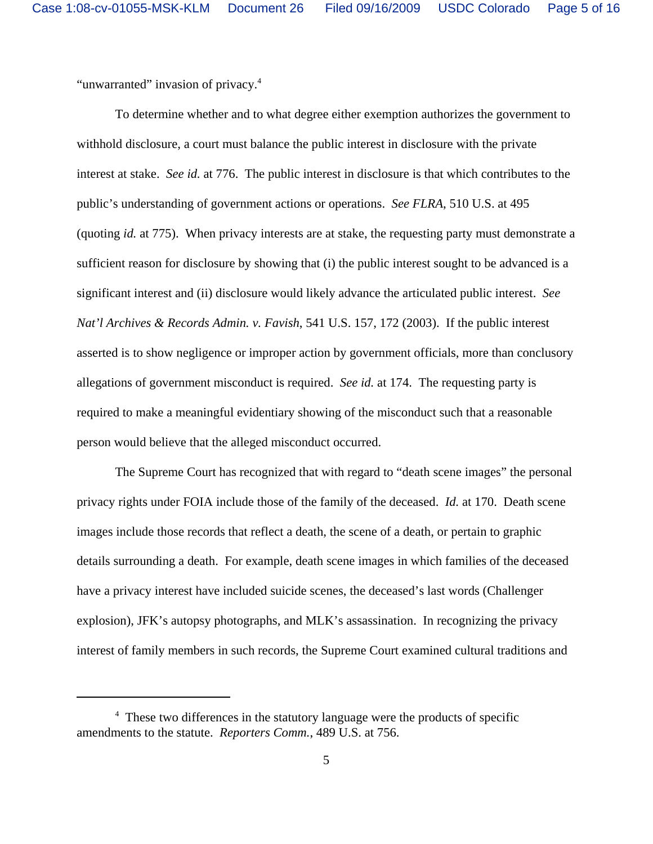"unwarranted" invasion of privacy.<sup>4</sup>

To determine whether and to what degree either exemption authorizes the government to withhold disclosure, a court must balance the public interest in disclosure with the private interest at stake. *See id.* at 776. The public interest in disclosure is that which contributes to the public's understanding of government actions or operations. *See FLRA*, 510 U.S. at 495 (quoting *id.* at 775). When privacy interests are at stake, the requesting party must demonstrate a sufficient reason for disclosure by showing that (i) the public interest sought to be advanced is a significant interest and (ii) disclosure would likely advance the articulated public interest. *See Nat'l Archives & Records Admin. v. Favish*, 541 U.S. 157, 172 (2003). If the public interest asserted is to show negligence or improper action by government officials, more than conclusory allegations of government misconduct is required. *See id.* at 174. The requesting party is required to make a meaningful evidentiary showing of the misconduct such that a reasonable person would believe that the alleged misconduct occurred.

The Supreme Court has recognized that with regard to "death scene images" the personal privacy rights under FOIA include those of the family of the deceased. *Id.* at 170. Death scene images include those records that reflect a death, the scene of a death, or pertain to graphic details surrounding a death. For example, death scene images in which families of the deceased have a privacy interest have included suicide scenes, the deceased's last words (Challenger explosion), JFK's autopsy photographs, and MLK's assassination. In recognizing the privacy interest of family members in such records, the Supreme Court examined cultural traditions and

<sup>&</sup>lt;sup>4</sup> These two differences in the statutory language were the products of specific amendments to the statute. *Reporters Comm.*, 489 U.S. at 756.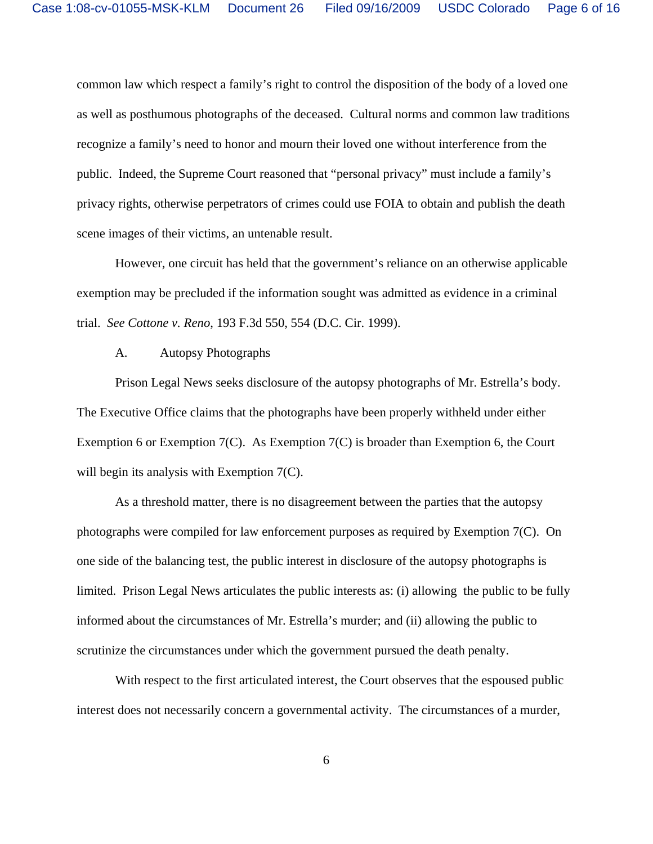common law which respect a family's right to control the disposition of the body of a loved one as well as posthumous photographs of the deceased. Cultural norms and common law traditions recognize a family's need to honor and mourn their loved one without interference from the public. Indeed, the Supreme Court reasoned that "personal privacy" must include a family's privacy rights, otherwise perpetrators of crimes could use FOIA to obtain and publish the death scene images of their victims, an untenable result.

However, one circuit has held that the government's reliance on an otherwise applicable exemption may be precluded if the information sought was admitted as evidence in a criminal trial. *See Cottone v. Reno*, 193 F.3d 550, 554 (D.C. Cir. 1999).

### A. Autopsy Photographs

Prison Legal News seeks disclosure of the autopsy photographs of Mr. Estrella's body. The Executive Office claims that the photographs have been properly withheld under either Exemption 6 or Exemption 7(C). As Exemption 7(C) is broader than Exemption 6, the Court will begin its analysis with Exemption 7(C).

As a threshold matter, there is no disagreement between the parties that the autopsy photographs were compiled for law enforcement purposes as required by Exemption 7(C). On one side of the balancing test, the public interest in disclosure of the autopsy photographs is limited. Prison Legal News articulates the public interests as: (i) allowing the public to be fully informed about the circumstances of Mr. Estrella's murder; and (ii) allowing the public to scrutinize the circumstances under which the government pursued the death penalty.

With respect to the first articulated interest, the Court observes that the espoused public interest does not necessarily concern a governmental activity. The circumstances of a murder,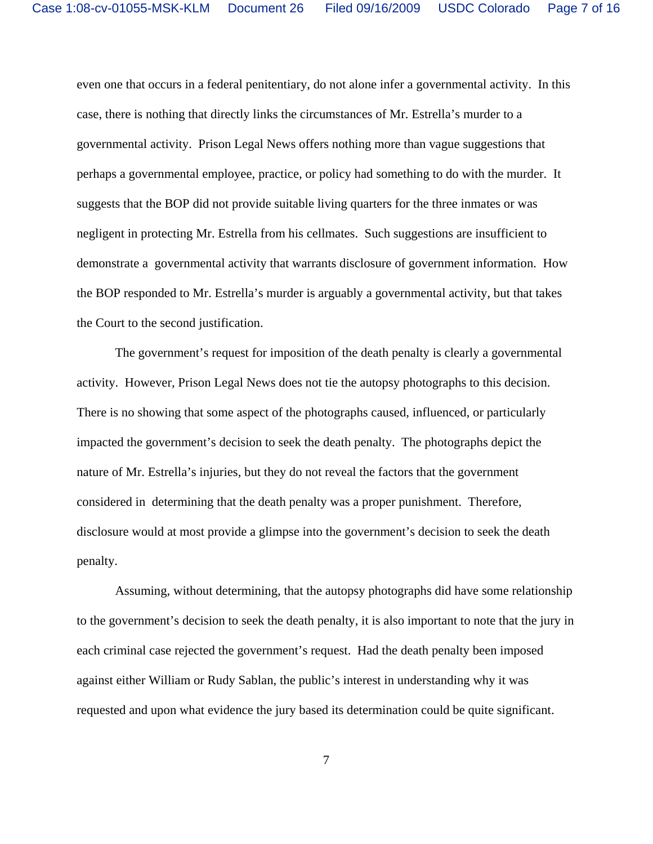even one that occurs in a federal penitentiary, do not alone infer a governmental activity. In this case, there is nothing that directly links the circumstances of Mr. Estrella's murder to a governmental activity. Prison Legal News offers nothing more than vague suggestions that perhaps a governmental employee, practice, or policy had something to do with the murder. It suggests that the BOP did not provide suitable living quarters for the three inmates or was negligent in protecting Mr. Estrella from his cellmates. Such suggestions are insufficient to demonstrate a governmental activity that warrants disclosure of government information. How the BOP responded to Mr. Estrella's murder is arguably a governmental activity, but that takes the Court to the second justification.

The government's request for imposition of the death penalty is clearly a governmental activity. However, Prison Legal News does not tie the autopsy photographs to this decision. There is no showing that some aspect of the photographs caused, influenced, or particularly impacted the government's decision to seek the death penalty. The photographs depict the nature of Mr. Estrella's injuries, but they do not reveal the factors that the government considered in determining that the death penalty was a proper punishment. Therefore, disclosure would at most provide a glimpse into the government's decision to seek the death penalty.

Assuming, without determining, that the autopsy photographs did have some relationship to the government's decision to seek the death penalty, it is also important to note that the jury in each criminal case rejected the government's request. Had the death penalty been imposed against either William or Rudy Sablan, the public's interest in understanding why it was requested and upon what evidence the jury based its determination could be quite significant.

7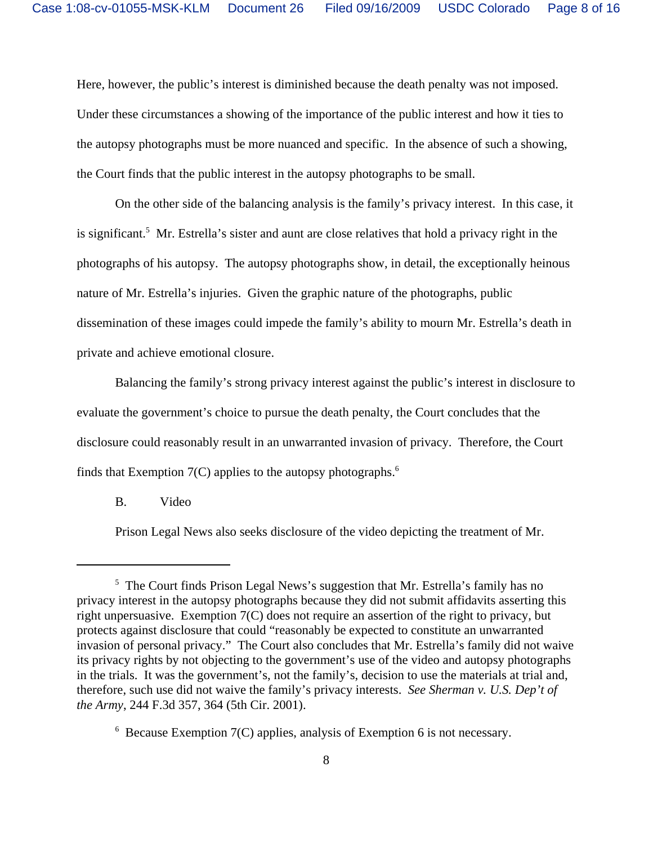Here, however, the public's interest is diminished because the death penalty was not imposed. Under these circumstances a showing of the importance of the public interest and how it ties to the autopsy photographs must be more nuanced and specific. In the absence of such a showing, the Court finds that the public interest in the autopsy photographs to be small.

On the other side of the balancing analysis is the family's privacy interest. In this case, it is significant.<sup>5</sup> Mr. Estrella's sister and aunt are close relatives that hold a privacy right in the photographs of his autopsy. The autopsy photographs show, in detail, the exceptionally heinous nature of Mr. Estrella's injuries. Given the graphic nature of the photographs, public dissemination of these images could impede the family's ability to mourn Mr. Estrella's death in private and achieve emotional closure.

Balancing the family's strong privacy interest against the public's interest in disclosure to evaluate the government's choice to pursue the death penalty, the Court concludes that the disclosure could reasonably result in an unwarranted invasion of privacy. Therefore, the Court finds that Exemption  $7(C)$  applies to the autopsy photographs.<sup>6</sup>

B. Video

Prison Legal News also seeks disclosure of the video depicting the treatment of Mr.

<sup>&</sup>lt;sup>5</sup> The Court finds Prison Legal News's suggestion that Mr. Estrella's family has no privacy interest in the autopsy photographs because they did not submit affidavits asserting this right unpersuasive. Exemption 7(C) does not require an assertion of the right to privacy, but protects against disclosure that could "reasonably be expected to constitute an unwarranted invasion of personal privacy." The Court also concludes that Mr. Estrella's family did not waive its privacy rights by not objecting to the government's use of the video and autopsy photographs in the trials. It was the government's, not the family's, decision to use the materials at trial and, therefore, such use did not waive the family's privacy interests. *See Sherman v. U.S. Dep't of the Army*, 244 F.3d 357, 364 (5th Cir. 2001).

<sup>6</sup> Because Exemption 7(C) applies, analysis of Exemption 6 is not necessary.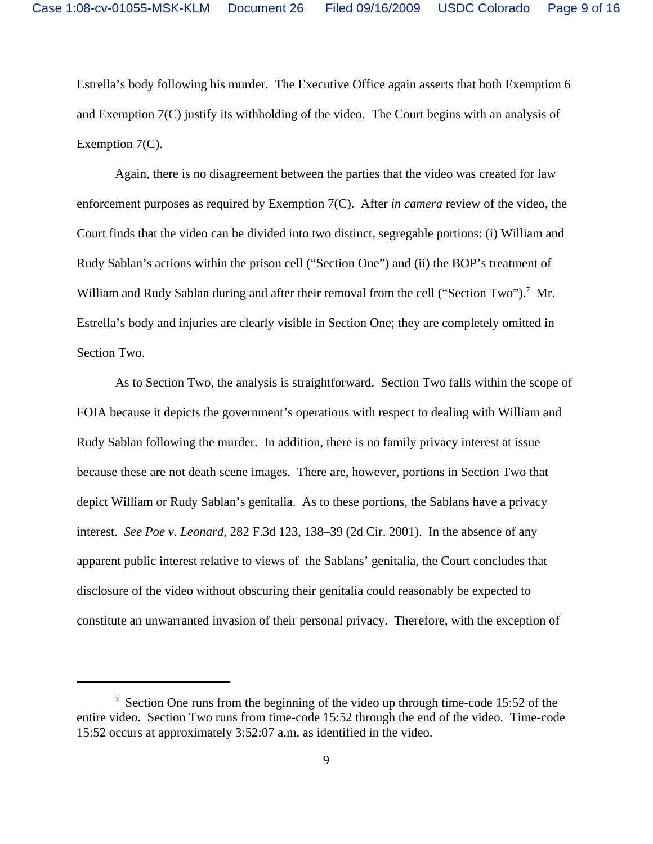Estrella's body following his murder. The Executive Office again asserts that both Exemption 6 and Exemption 7(C) justify its withholding of the video. The Court begins with an analysis of Exemption 7(C).

Again, there is no disagreement between the parties that the video was created for law enforcement purposes as required by Exemption 7(C). After *in camera* review of the video, the Court finds that the video can be divided into two distinct, segregable portions: (i) William and Rudy Sablan's actions within the prison cell ("Section One") and (ii) the BOP's treatment of William and Rudy Sablan during and after their removal from the cell ("Section Two").<sup>7</sup> Mr. Estrella's body and injuries are clearly visible in Section One; they are completely omitted in Section Two.

As to Section Two, the analysis is straightforward. Section Two falls within the scope of FOIA because it depicts the government's operations with respect to dealing with William and Rudy Sablan following the murder. In addition, there is no family privacy interest at issue because these are not death scene images. There are, however, portions in Section Two that depict William or Rudy Sablan's genitalia. As to these portions, the Sablans have a privacy interest. *See Poe v. Leonard*, 282 F.3d 123, 138–39 (2d Cir. 2001). In the absence of any apparent public interest relative to views of the Sablans' genitalia, the Court concludes that disclosure of the video without obscuring their genitalia could reasonably be expected to constitute an unwarranted invasion of their personal privacy. Therefore, with the exception of

 $7$  Section One runs from the beginning of the video up through time-code 15:52 of the entire video. Section Two runs from time-code 15:52 through the end of the video. Time-code 15:52 occurs at approximately 3:52:07 a.m. as identified in the video.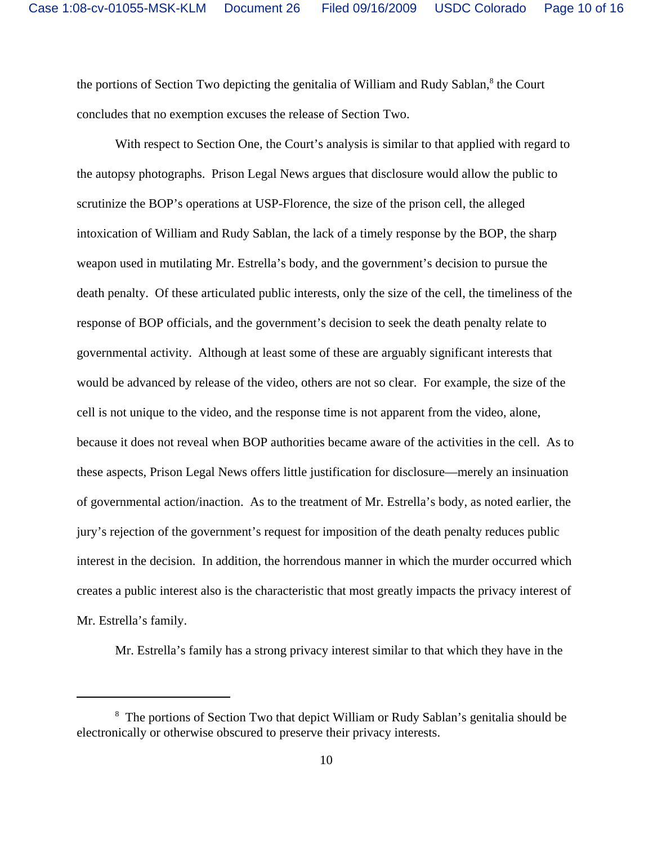the portions of Section Two depicting the genitalia of William and Rudy Sablan,<sup>8</sup> the Court concludes that no exemption excuses the release of Section Two.

With respect to Section One, the Court's analysis is similar to that applied with regard to the autopsy photographs. Prison Legal News argues that disclosure would allow the public to scrutinize the BOP's operations at USP-Florence, the size of the prison cell, the alleged intoxication of William and Rudy Sablan, the lack of a timely response by the BOP, the sharp weapon used in mutilating Mr. Estrella's body, and the government's decision to pursue the death penalty. Of these articulated public interests, only the size of the cell, the timeliness of the response of BOP officials, and the government's decision to seek the death penalty relate to governmental activity. Although at least some of these are arguably significant interests that would be advanced by release of the video, others are not so clear. For example, the size of the cell is not unique to the video, and the response time is not apparent from the video, alone, because it does not reveal when BOP authorities became aware of the activities in the cell. As to these aspects, Prison Legal News offers little justification for disclosure—merely an insinuation of governmental action/inaction. As to the treatment of Mr. Estrella's body, as noted earlier, the jury's rejection of the government's request for imposition of the death penalty reduces public interest in the decision. In addition, the horrendous manner in which the murder occurred which creates a public interest also is the characteristic that most greatly impacts the privacy interest of Mr. Estrella's family.

Mr. Estrella's family has a strong privacy interest similar to that which they have in the

<sup>&</sup>lt;sup>8</sup> The portions of Section Two that depict William or Rudy Sablan's genitalia should be electronically or otherwise obscured to preserve their privacy interests.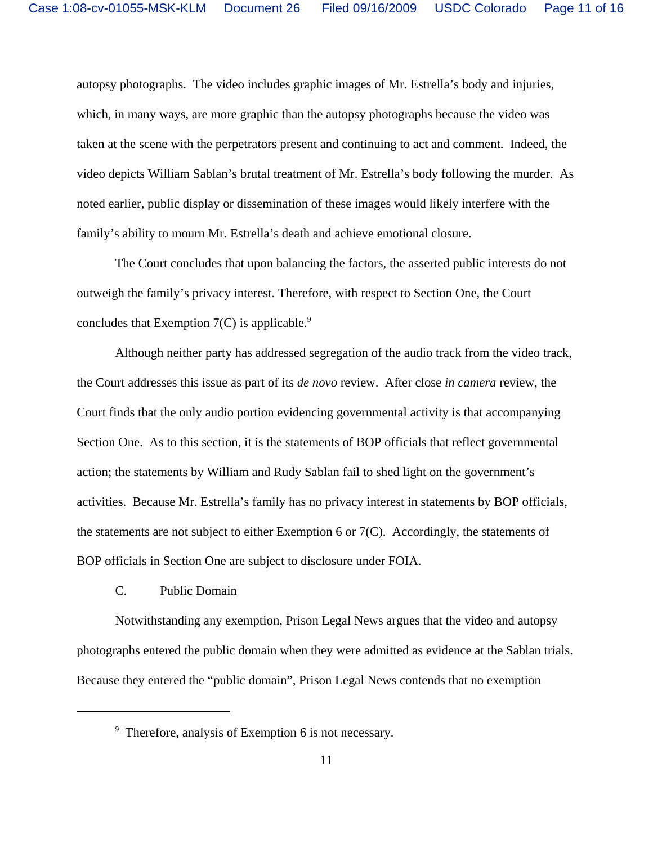autopsy photographs. The video includes graphic images of Mr. Estrella's body and injuries, which, in many ways, are more graphic than the autopsy photographs because the video was taken at the scene with the perpetrators present and continuing to act and comment. Indeed, the video depicts William Sablan's brutal treatment of Mr. Estrella's body following the murder. As noted earlier, public display or dissemination of these images would likely interfere with the family's ability to mourn Mr. Estrella's death and achieve emotional closure.

The Court concludes that upon balancing the factors, the asserted public interests do not outweigh the family's privacy interest. Therefore, with respect to Section One, the Court concludes that Exemption  $7(C)$  is applicable.<sup>9</sup>

Although neither party has addressed segregation of the audio track from the video track, the Court addresses this issue as part of its *de novo* review. After close *in camera* review, the Court finds that the only audio portion evidencing governmental activity is that accompanying Section One. As to this section, it is the statements of BOP officials that reflect governmental action; the statements by William and Rudy Sablan fail to shed light on the government's activities. Because Mr. Estrella's family has no privacy interest in statements by BOP officials, the statements are not subject to either Exemption 6 or 7(C). Accordingly, the statements of BOP officials in Section One are subject to disclosure under FOIA.

C. Public Domain

Notwithstanding any exemption, Prison Legal News argues that the video and autopsy photographs entered the public domain when they were admitted as evidence at the Sablan trials. Because they entered the "public domain", Prison Legal News contends that no exemption

<sup>&</sup>lt;sup>9</sup> Therefore, analysis of Exemption 6 is not necessary.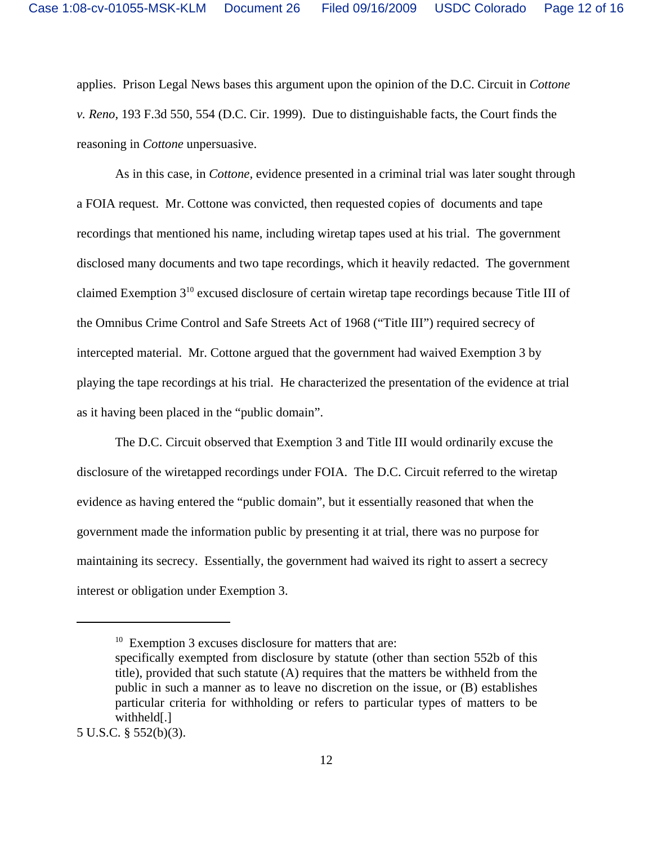applies. Prison Legal News bases this argument upon the opinion of the D.C. Circuit in *Cottone v. Reno*, 193 F.3d 550, 554 (D.C. Cir. 1999). Due to distinguishable facts, the Court finds the reasoning in *Cottone* unpersuasive.

As in this case, in *Cottone,* evidence presented in a criminal trial was later sought through a FOIA request. Mr. Cottone was convicted, then requested copies of documents and tape recordings that mentioned his name, including wiretap tapes used at his trial. The government disclosed many documents and two tape recordings, which it heavily redacted. The government claimed Exemption 310 excused disclosure of certain wiretap tape recordings because Title III of the Omnibus Crime Control and Safe Streets Act of 1968 ("Title III") required secrecy of intercepted material. Mr. Cottone argued that the government had waived Exemption 3 by playing the tape recordings at his trial. He characterized the presentation of the evidence at trial as it having been placed in the "public domain".

The D.C. Circuit observed that Exemption 3 and Title III would ordinarily excuse the disclosure of the wiretapped recordings under FOIA. The D.C. Circuit referred to the wiretap evidence as having entered the "public domain", but it essentially reasoned that when the government made the information public by presenting it at trial, there was no purpose for maintaining its secrecy. Essentially, the government had waived its right to assert a secrecy interest or obligation under Exemption 3.

 $10$  Exemption 3 excuses disclosure for matters that are:

specifically exempted from disclosure by statute (other than section 552b of this title), provided that such statute (A) requires that the matters be withheld from the public in such a manner as to leave no discretion on the issue, or (B) establishes particular criteria for withholding or refers to particular types of matters to be withheld[.]

<sup>5</sup> U.S.C. § 552(b)(3).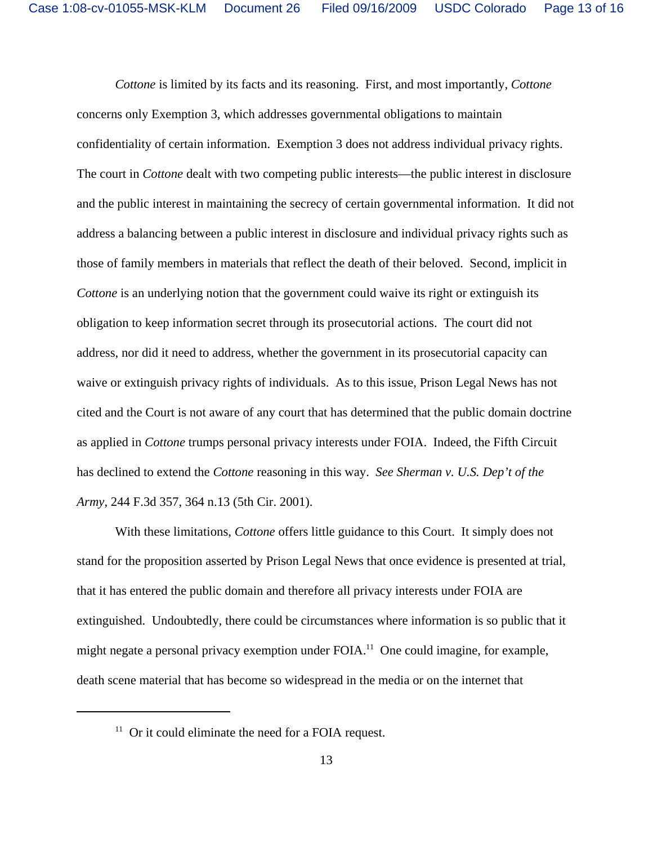*Cottone* is limited by its facts and its reasoning. First, and most importantly, *Cottone* concerns only Exemption 3, which addresses governmental obligations to maintain confidentiality of certain information. Exemption 3 does not address individual privacy rights. The court in *Cottone* dealt with two competing public interests—the public interest in disclosure and the public interest in maintaining the secrecy of certain governmental information. It did not address a balancing between a public interest in disclosure and individual privacy rights such as those of family members in materials that reflect the death of their beloved. Second, implicit in *Cottone* is an underlying notion that the government could waive its right or extinguish its obligation to keep information secret through its prosecutorial actions. The court did not address, nor did it need to address, whether the government in its prosecutorial capacity can waive or extinguish privacy rights of individuals. As to this issue, Prison Legal News has not cited and the Court is not aware of any court that has determined that the public domain doctrine as applied in *Cottone* trumps personal privacy interests under FOIA. Indeed, the Fifth Circuit has declined to extend the *Cottone* reasoning in this way. *See Sherman v. U.S. Dep't of the Army*, 244 F.3d 357, 364 n.13 (5th Cir. 2001).

With these limitations, *Cottone* offers little guidance to this Court. It simply does not stand for the proposition asserted by Prison Legal News that once evidence is presented at trial, that it has entered the public domain and therefore all privacy interests under FOIA are extinguished. Undoubtedly, there could be circumstances where information is so public that it might negate a personal privacy exemption under FOIA.<sup>11</sup> One could imagine, for example, death scene material that has become so widespread in the media or on the internet that

 $11$  Or it could eliminate the need for a FOIA request.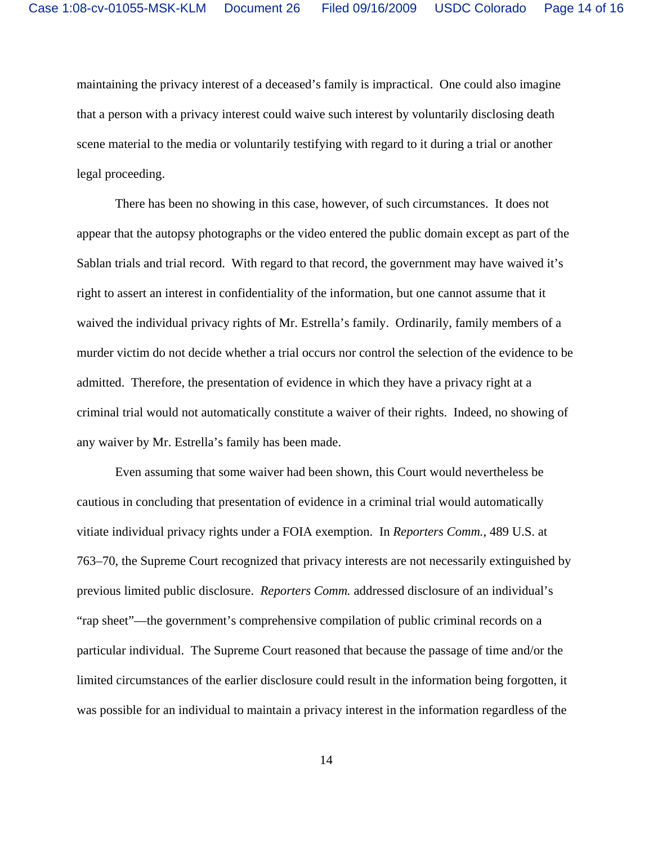maintaining the privacy interest of a deceased's family is impractical. One could also imagine that a person with a privacy interest could waive such interest by voluntarily disclosing death scene material to the media or voluntarily testifying with regard to it during a trial or another legal proceeding.

There has been no showing in this case, however, of such circumstances. It does not appear that the autopsy photographs or the video entered the public domain except as part of the Sablan trials and trial record. With regard to that record, the government may have waived it's right to assert an interest in confidentiality of the information, but one cannot assume that it waived the individual privacy rights of Mr. Estrella's family. Ordinarily, family members of a murder victim do not decide whether a trial occurs nor control the selection of the evidence to be admitted. Therefore, the presentation of evidence in which they have a privacy right at a criminal trial would not automatically constitute a waiver of their rights. Indeed, no showing of any waiver by Mr. Estrella's family has been made.

Even assuming that some waiver had been shown, this Court would nevertheless be cautious in concluding that presentation of evidence in a criminal trial would automatically vitiate individual privacy rights under a FOIA exemption. In *Reporters Comm.*, 489 U.S. at 763–70, the Supreme Court recognized that privacy interests are not necessarily extinguished by previous limited public disclosure. *Reporters Comm.* addressed disclosure of an individual's "rap sheet"—the government's comprehensive compilation of public criminal records on a particular individual. The Supreme Court reasoned that because the passage of time and/or the limited circumstances of the earlier disclosure could result in the information being forgotten, it was possible for an individual to maintain a privacy interest in the information regardless of the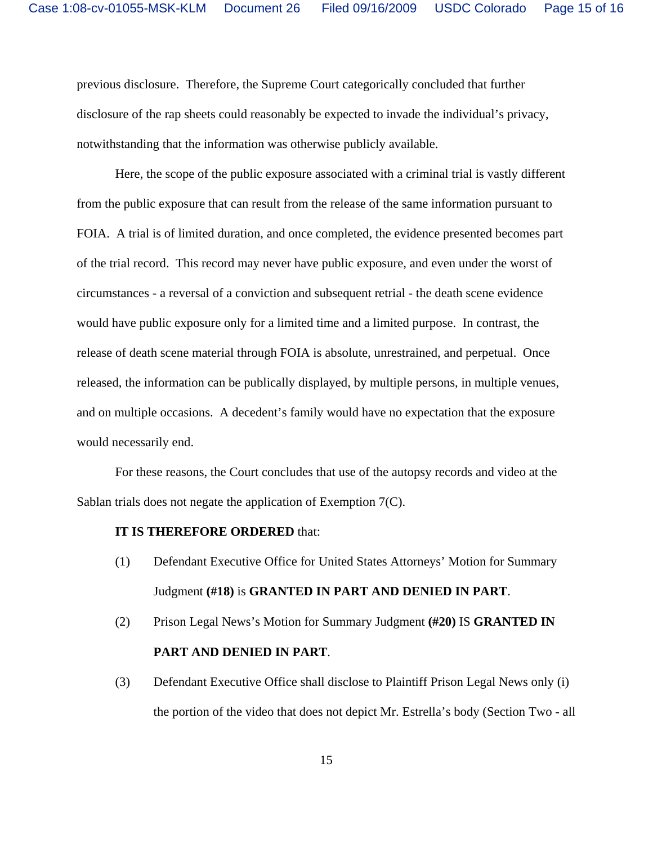previous disclosure. Therefore, the Supreme Court categorically concluded that further disclosure of the rap sheets could reasonably be expected to invade the individual's privacy, notwithstanding that the information was otherwise publicly available.

Here, the scope of the public exposure associated with a criminal trial is vastly different from the public exposure that can result from the release of the same information pursuant to FOIA. A trial is of limited duration, and once completed, the evidence presented becomes part of the trial record. This record may never have public exposure, and even under the worst of circumstances - a reversal of a conviction and subsequent retrial - the death scene evidence would have public exposure only for a limited time and a limited purpose. In contrast, the release of death scene material through FOIA is absolute, unrestrained, and perpetual. Once released, the information can be publically displayed, by multiple persons, in multiple venues, and on multiple occasions. A decedent's family would have no expectation that the exposure would necessarily end.

For these reasons, the Court concludes that use of the autopsy records and video at the Sablan trials does not negate the application of Exemption 7(C).

#### **IT IS THEREFORE ORDERED** that:

- (1) Defendant Executive Office for United States Attorneys' Motion for Summary Judgment **(#18)** is **GRANTED IN PART AND DENIED IN PART**.
- (2) Prison Legal News's Motion for Summary Judgment **(#20)** IS **GRANTED IN PART AND DENIED IN PART**.
- (3) Defendant Executive Office shall disclose to Plaintiff Prison Legal News only (i) the portion of the video that does not depict Mr. Estrella's body (Section Two - all